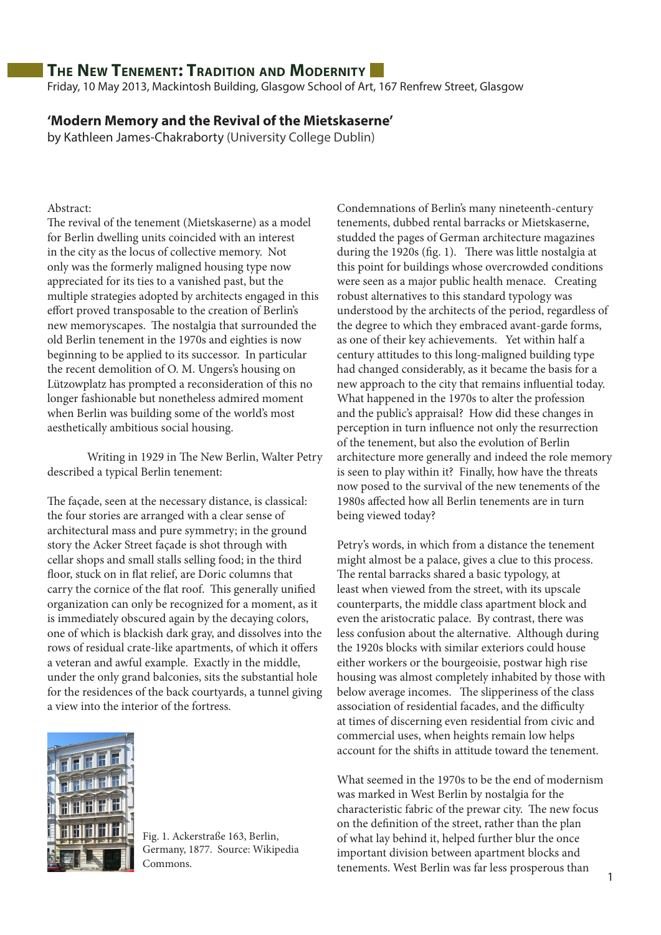Friday, 10 May 2013, Mackintosh Building, Glasgow School of Art, 167 Renfrew Street, Glasgow

#### **'Modern Memory and the Revival of the Mietskaserne'**

by Kathleen James-Chakraborty (University College Dublin)

Abstract:

The revival of the tenement (Mietskaserne) as a model for Berlin dwelling units coincided with an interest in the city as the locus of collective memory. Not only was the formerly maligned housing type now appreciated for its ties to a vanished past, but the multiple strategies adopted by architects engaged in this effort proved transposable to the creation of Berlin's new memoryscapes. The nostalgia that surrounded the old Berlin tenement in the 1970s and eighties is now beginning to be applied to its successor. In particular the recent demolition of O. M. Ungers's housing on Lützowplatz has prompted a reconsideration of this no longer fashionable but nonetheless admired moment when Berlin was building some of the world's most aesthetically ambitious social housing.

Writing in 1929 in The New Berlin, Walter Petry described a typical Berlin tenement:

The façade, seen at the necessary distance, is classical: the four stories are arranged with a clear sense of architectural mass and pure symmetry; in the ground story the Acker Street façade is shot through with cellar shops and small stalls selling food; in the third floor, stuck on in flat relief, are Doric columns that carry the cornice of the flat roof. This generally unified organization can only be recognized for a moment, as it is immediately obscured again by the decaying colors, one of which is blackish dark gray, and dissolves into the rows of residual crate-like apartments, of which it offers a veteran and awful example. Exactly in the middle, under the only grand balconies, sits the substantial hole for the residences of the back courtyards, a tunnel giving a view into the interior of the fortress.



Fig. 1. Ackerstraße 163, Berlin, Germany, 1877. Source: Wikipedia Commons.

Condemnations of Berlin's many nineteenth-century tenements, dubbed rental barracks or Mietskaserne, studded the pages of German architecture magazines during the 1920s (fig. 1). There was little nostalgia at this point for buildings whose overcrowded conditions were seen as a major public health menace. Creating robust alternatives to this standard typology was understood by the architects of the period, regardless of the degree to which they embraced avant-garde forms, as one of their key achievements. Yet within half a century attitudes to this long-maligned building type had changed considerably, as it became the basis for a new approach to the city that remains influential today. What happened in the 1970s to alter the profession and the public's appraisal? How did these changes in perception in turn influence not only the resurrection of the tenement, but also the evolution of Berlin architecture more generally and indeed the role memory is seen to play within it? Finally, how have the threats now posed to the survival of the new tenements of the 1980s affected how all Berlin tenements are in turn being viewed today?

Petry's words, in which from a distance the tenement might almost be a palace, gives a clue to this process. The rental barracks shared a basic typology, at least when viewed from the street, with its upscale counterparts, the middle class apartment block and even the aristocratic palace. By contrast, there was less confusion about the alternative. Although during the 1920s blocks with similar exteriors could house either workers or the bourgeoisie, postwar high rise housing was almost completely inhabited by those with below average incomes. The slipperiness of the class association of residential facades, and the difficulty at times of discerning even residential from civic and commercial uses, when heights remain low helps account for the shifts in attitude toward the tenement.

What seemed in the 1970s to be the end of modernism was marked in West Berlin by nostalgia for the characteristic fabric of the prewar city. The new focus on the definition of the street, rather than the plan of what lay behind it, helped further blur the once important division between apartment blocks and tenements. West Berlin was far less prosperous than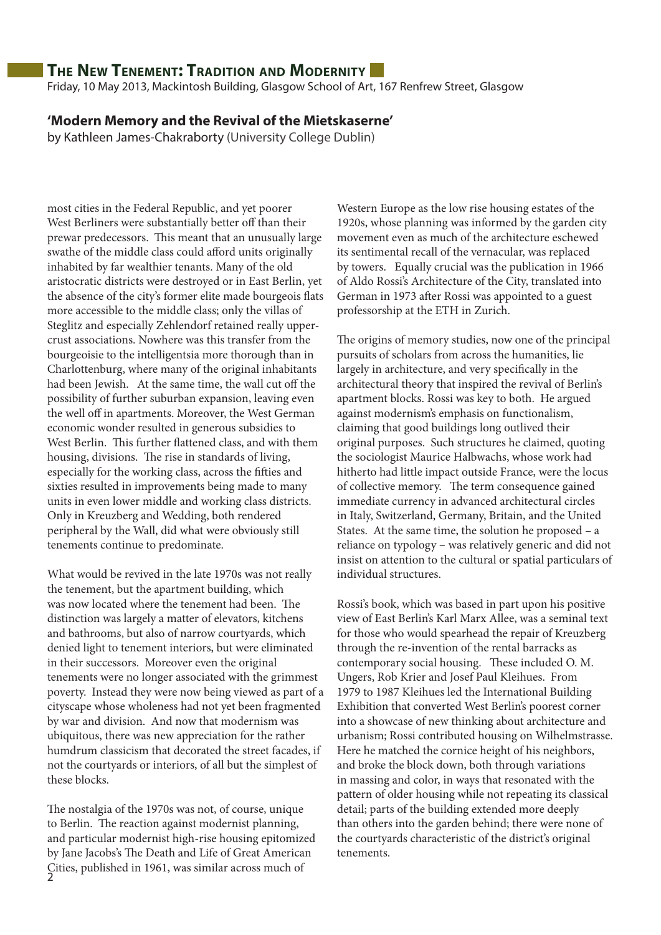Friday, 10 May 2013, Mackintosh Building, Glasgow School of Art, 167 Renfrew Street, Glasgow

#### **'Modern Memory and the Revival of the Mietskaserne'**

by Kathleen James-Chakraborty (University College Dublin)

most cities in the Federal Republic, and yet poorer West Berliners were substantially better off than their prewar predecessors. This meant that an unusually large swathe of the middle class could afford units originally inhabited by far wealthier tenants. Many of the old aristocratic districts were destroyed or in East Berlin, yet the absence of the city's former elite made bourgeois flats more accessible to the middle class; only the villas of Steglitz and especially Zehlendorf retained really uppercrust associations. Nowhere was this transfer from the bourgeoisie to the intelligentsia more thorough than in Charlottenburg, where many of the original inhabitants had been Jewish. At the same time, the wall cut off the possibility of further suburban expansion, leaving even the well off in apartments. Moreover, the West German economic wonder resulted in generous subsidies to West Berlin. This further flattened class, and with them housing, divisions. The rise in standards of living, especially for the working class, across the fifties and sixties resulted in improvements being made to many units in even lower middle and working class districts. Only in Kreuzberg and Wedding, both rendered peripheral by the Wall, did what were obviously still tenements continue to predominate.

What would be revived in the late 1970s was not really the tenement, but the apartment building, which was now located where the tenement had been. The distinction was largely a matter of elevators, kitchens and bathrooms, but also of narrow courtyards, which denied light to tenement interiors, but were eliminated in their successors. Moreover even the original tenements were no longer associated with the grimmest poverty. Instead they were now being viewed as part of a cityscape whose wholeness had not yet been fragmented by war and division. And now that modernism was ubiquitous, there was new appreciation for the rather humdrum classicism that decorated the street facades, if not the courtyards or interiors, of all but the simplest of these blocks.

2 Cities, published in 1961, was similar across much of The nostalgia of the 1970s was not, of course, unique to Berlin. The reaction against modernist planning, and particular modernist high-rise housing epitomized by Jane Jacobs's The Death and Life of Great American

Western Europe as the low rise housing estates of the 1920s, whose planning was informed by the garden city movement even as much of the architecture eschewed its sentimental recall of the vernacular, was replaced by towers. Equally crucial was the publication in 1966 of Aldo Rossi's Architecture of the City, translated into German in 1973 after Rossi was appointed to a guest professorship at the ETH in Zurich.

The origins of memory studies, now one of the principal pursuits of scholars from across the humanities, lie largely in architecture, and very specifically in the architectural theory that inspired the revival of Berlin's apartment blocks. Rossi was key to both. He argued against modernism's emphasis on functionalism, claiming that good buildings long outlived their original purposes. Such structures he claimed, quoting the sociologist Maurice Halbwachs, whose work had hitherto had little impact outside France, were the locus of collective memory. The term consequence gained immediate currency in advanced architectural circles in Italy, Switzerland, Germany, Britain, and the United States. At the same time, the solution he proposed – a reliance on typology – was relatively generic and did not insist on attention to the cultural or spatial particulars of individual structures.

Rossi's book, which was based in part upon his positive view of East Berlin's Karl Marx Allee, was a seminal text for those who would spearhead the repair of Kreuzberg through the re-invention of the rental barracks as contemporary social housing. These included O. M. Ungers, Rob Krier and Josef Paul Kleihues. From 1979 to 1987 Kleihues led the International Building Exhibition that converted West Berlin's poorest corner into a showcase of new thinking about architecture and urbanism; Rossi contributed housing on Wilhelmstrasse. Here he matched the cornice height of his neighbors, and broke the block down, both through variations in massing and color, in ways that resonated with the pattern of older housing while not repeating its classical detail; parts of the building extended more deeply than others into the garden behind; there were none of the courtyards characteristic of the district's original tenements.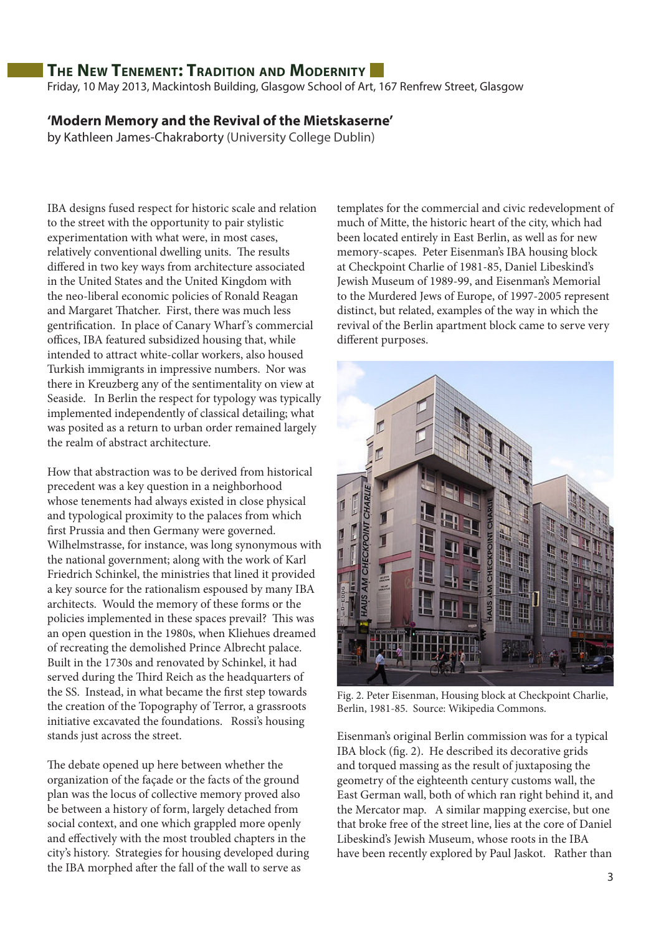Friday, 10 May 2013, Mackintosh Building, Glasgow School of Art, 167 Renfrew Street, Glasgow

### **'Modern Memory and the Revival of the Mietskaserne'**

by Kathleen James-Chakraborty (University College Dublin)

IBA designs fused respect for historic scale and relation to the street with the opportunity to pair stylistic experimentation with what were, in most cases, relatively conventional dwelling units. The results differed in two key ways from architecture associated in the United States and the United Kingdom with the neo-liberal economic policies of Ronald Reagan and Margaret Thatcher. First, there was much less gentrification. In place of Canary Wharf 's commercial offices, IBA featured subsidized housing that, while intended to attract white-collar workers, also housed Turkish immigrants in impressive numbers. Nor was there in Kreuzberg any of the sentimentality on view at Seaside. In Berlin the respect for typology was typically implemented independently of classical detailing; what was posited as a return to urban order remained largely the realm of abstract architecture.

How that abstraction was to be derived from historical precedent was a key question in a neighborhood whose tenements had always existed in close physical and typological proximity to the palaces from which first Prussia and then Germany were governed. Wilhelmstrasse, for instance, was long synonymous with the national government; along with the work of Karl Friedrich Schinkel, the ministries that lined it provided a key source for the rationalism espoused by many IBA architects. Would the memory of these forms or the policies implemented in these spaces prevail? This was an open question in the 1980s, when Kliehues dreamed of recreating the demolished Prince Albrecht palace. Built in the 1730s and renovated by Schinkel, it had served during the Third Reich as the headquarters of the SS. Instead, in what became the first step towards the creation of the Topography of Terror, a grassroots initiative excavated the foundations. Rossi's housing stands just across the street.

The debate opened up here between whether the organization of the façade or the facts of the ground plan was the locus of collective memory proved also be between a history of form, largely detached from social context, and one which grappled more openly and effectively with the most troubled chapters in the city's history. Strategies for housing developed during the IBA morphed after the fall of the wall to serve as

templates for the commercial and civic redevelopment of much of Mitte, the historic heart of the city, which had been located entirely in East Berlin, as well as for new memory-scapes. Peter Eisenman's IBA housing block at Checkpoint Charlie of 1981-85, Daniel Libeskind's Jewish Museum of 1989-99, and Eisenman's Memorial to the Murdered Jews of Europe, of 1997-2005 represent distinct, but related, examples of the way in which the revival of the Berlin apartment block came to serve very different purposes.



Fig. 2. Peter Eisenman, Housing block at Checkpoint Charlie, Berlin, 1981-85. Source: Wikipedia Commons.

Eisenman's original Berlin commission was for a typical IBA block (fig. 2). He described its decorative grids and torqued massing as the result of juxtaposing the geometry of the eighteenth century customs wall, the East German wall, both of which ran right behind it, and the Mercator map. A similar mapping exercise, but one that broke free of the street line, lies at the core of Daniel Libeskind's Jewish Museum, whose roots in the IBA have been recently explored by Paul Jaskot. Rather than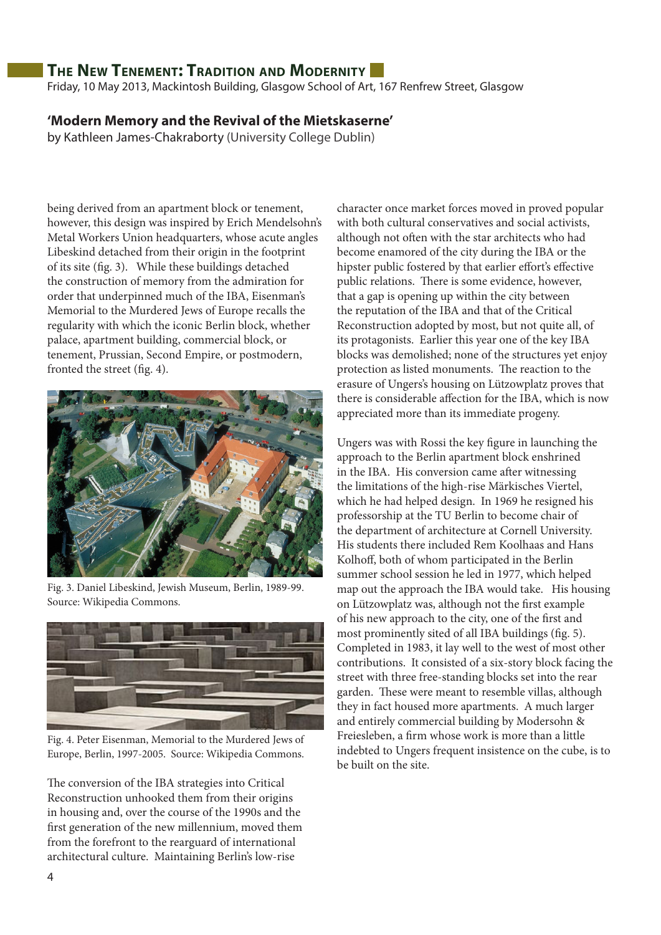Friday, 10 May 2013, Mackintosh Building, Glasgow School of Art, 167 Renfrew Street, Glasgow

### **'Modern Memory and the Revival of the Mietskaserne'**

by Kathleen James-Chakraborty (University College Dublin)

being derived from an apartment block or tenement, however, this design was inspired by Erich Mendelsohn's Metal Workers Union headquarters, whose acute angles Libeskind detached from their origin in the footprint of its site (fig. 3). While these buildings detached the construction of memory from the admiration for order that underpinned much of the IBA, Eisenman's Memorial to the Murdered Jews of Europe recalls the regularity with which the iconic Berlin block, whether palace, apartment building, commercial block, or tenement, Prussian, Second Empire, or postmodern, fronted the street (fig. 4).



Fig. 3. Daniel Libeskind, Jewish Museum, Berlin, 1989-99. Source: Wikipedia Commons.



Fig. 4. Peter Eisenman, Memorial to the Murdered Jews of Europe, Berlin, 1997-2005. Source: Wikipedia Commons.

The conversion of the IBA strategies into Critical Reconstruction unhooked them from their origins in housing and, over the course of the 1990s and the first generation of the new millennium, moved them from the forefront to the rearguard of international architectural culture. Maintaining Berlin's low-rise

character once market forces moved in proved popular with both cultural conservatives and social activists, although not often with the star architects who had become enamored of the city during the IBA or the hipster public fostered by that earlier effort's effective public relations. There is some evidence, however, that a gap is opening up within the city between the reputation of the IBA and that of the Critical Reconstruction adopted by most, but not quite all, of its protagonists. Earlier this year one of the key IBA blocks was demolished; none of the structures yet enjoy protection as listed monuments. The reaction to the erasure of Ungers's housing on Lützowplatz proves that there is considerable affection for the IBA, which is now appreciated more than its immediate progeny.

Ungers was with Rossi the key figure in launching the approach to the Berlin apartment block enshrined in the IBA. His conversion came after witnessing the limitations of the high-rise Märkisches Viertel, which he had helped design. In 1969 he resigned his professorship at the TU Berlin to become chair of the department of architecture at Cornell University. His students there included Rem Koolhaas and Hans Kolhoff, both of whom participated in the Berlin summer school session he led in 1977, which helped map out the approach the IBA would take. His housing on Lützowplatz was, although not the first example of his new approach to the city, one of the first and most prominently sited of all IBA buildings (fig. 5). Completed in 1983, it lay well to the west of most other contributions. It consisted of a six-story block facing the street with three free-standing blocks set into the rear garden. These were meant to resemble villas, although they in fact housed more apartments. A much larger and entirely commercial building by Modersohn & Freiesleben, a firm whose work is more than a little indebted to Ungers frequent insistence on the cube, is to be built on the site.